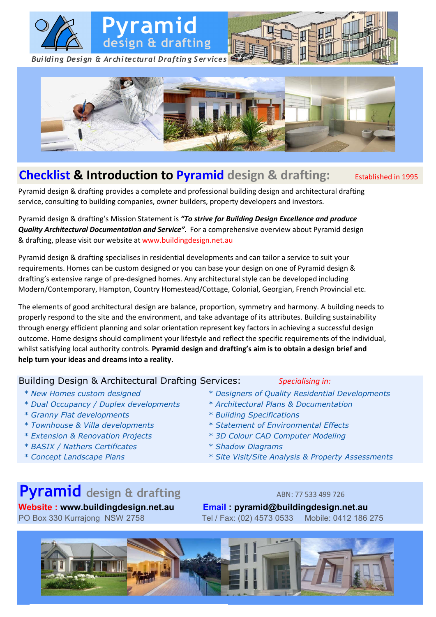



### **Checklist & Introduction to Pyramid** design & drafting: Established in 1995

Pyramid design & drafting provides a complete and professional building design and architectural drafting service, consulting to building companies, owner builders, property developers and investors.

Pyramid design & drafting's Mission Statement is *"To strive for Building Design Excellence and produce Quality Architectural Documentation and Service".* For a comprehensive overview about Pyramid design & drafting, please visit our website at www.buildingdesign.net.au

Pyramid design & drafting specialises in residential developments and can tailor a service to suit your requirements. Homes can be custom designed or you can base your design on one of Pyramid design & drafting's extensive range of pre-designed homes. Any architectural style can be developed including Modern/Contemporary, Hampton, Country Homestead/Cottage, Colonial, Georgian, French Provincial etc.

The elements of good architectural design are balance, proportion, symmetry and harmony. A building needs to properly respond to the site and the environment, and take advantage of its attributes. Building sustainability through energy efficient planning and solar orientation represent key factors in achieving a successful design outcome. Home designs should compliment your lifestyle and reflect the specific requirements of the individual, whilst satisfying local authority controls. **Pyramid design and drafting's aim is to obtain a design brief and help turn your ideas and dreams into a reality.**

### Building Design & Architectural Drafting Services: *Specialising in:*

- 
- *\* Dual Occupancy / Duplex developments \* Architectural Plans & Documentation*
- *\* Granny Flat developments \* Building Specifications*
- 
- *\* Extension & Renovation Projects \* 3D Colour CAD Computer Modeling*
- *\* BASIX / Nathers Certificates \* Shadow Diagrams*
- 

- *\* New Homes custom designed \* Designers of Quality Residential Developments*
	-
	-
- *\* Townhouse & Villa developments \* Statement of Environmental Effects*
	-
	-
- *\* Concept Landscape Plans \* Site Visit/Site Analysis & Property Assessments*

# **Pyramid** design & drafting<br>
ABN: 77 533 499 726

**Website : www.buildingdesign.net.au Email : pyramid@buildingdesign.net.au** PO Box 330 Kurrajong NSW 2758 Tel / Fax: (02) 4573 0533 Mobile: 0412 186 275

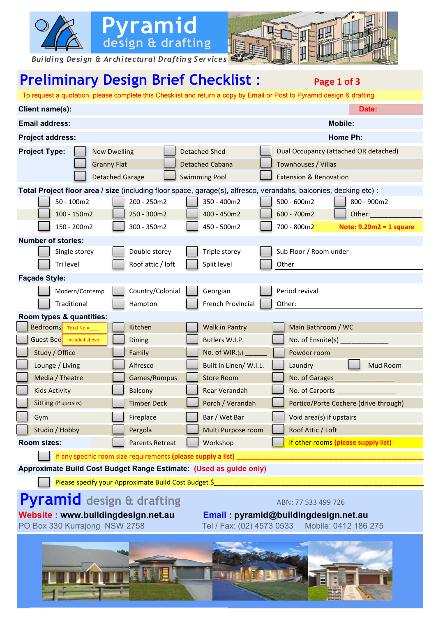

## **Preliminary Design Brief Checklist :** Page 1 of 3

 To request a quotation, please complete this Checklist and return a copy by Email or Post to Pyramid design & drafting **Client name(s):** Date: **Date: Date: Date: Date: Date: Date: Date: Date: Date: Date: Date: Date: Email address:** Mobile: Mobile: Mobile: Mobile: Mobile: Mobile: Mobile: Mobile: Mobile: Mobile: Mobile: Mobile: Mobile: Mobile: Mobile: Mobile: Mobile: Mobile: Mobile: Mobile: Mobile: Mobile: Mobile: Mobile: Mobile: Mobil **Project address: Home Ph: Project Type:** New Dwelling | Detached Shed | Dual Occupancy (attached OR detached) Granny Flat **Detached Cabana Detached Cabana** Townhouses / Villas Detached Garage **Suimming Pool** Extension & Renovation **Total Project floor area / size** (including floor space, garage(s), alfresco, verandahs, balconies, decking etc) **:** 50 - 100m2 200 - 250m2 350 - 400m2 500 - 600m2 800 - 900m2 100 - 150m2 250 - 300m2 400 - 450m2 600 - 700m2 Other:\_\_\_\_\_\_\_\_\_\_\_\_\_\_\_\_\_\_\_\_ 150 - 200m2 300 - 350m2 450 - 500m2 700 - 800m2 **Note: 9.29m2 = 1 square Number of stories:** Single storey **Double storey** Triple storey Sub Floor / Room under Tri level  $\Box$  Roof attic / loft  $\Box$  Split level  $\Box$  Other **Façade Style:** Modern/Contemp | Country/Colonial | Georgian | Period revival Traditional  $\|\cdot\|$  Hampton  $\|\cdot\|$  French Provincial  $\|\cdot\|$  Other: **Room types & quantities:** Bedrooms Kitchen Walk in Pantry Main Bathroom / WC Guest Bed included above | Latter Dining The Butlers W.I.P. Contract Butlers Control of Ensuite(s) \_\_\_\_\_\_\_\_\_\_\_ Study / Office Family Family No. of WIR.(s) Lounge / Living **Alfresco Built in Linen/ W.I.L.** Laundry **Mud Room** Media / Theatre Games/Rumpus | Store Room | No. of Garages Kids Activity **Ralcony** Rear Verandah No. of Carports **Rear Verandah** Sitting (if upstairs) Timber Deck **Porch / Verandah Portico/Porte Cochere (drive through)** Gym **Fireplace Bar / Wet Bar / Wet Bar** Void area(s) if upstairs Studio / Hobby Pergola Multi Purpose room Roof Attic / Loft **Room sizes: Parents Retreat Workshop If other rooms (please supply list)** If any specific room size requirements (please supply a list) **Approximate Build Cost Budget Range Estimate: (Used as guide only)** Please specify your Approximate Build Cost Budget \$ **Pyramid** design & drafting ABN: 77 533 499 726 **Website : www.buildingdesign.net.au Email : pyramid@buildingdesign.net.au** PO Box 330 Kurrajong NSW 2758 Tel / Fax: (02) 4573 0533 Mobile: 0412 186 275  $Bedrooms$  Total No.=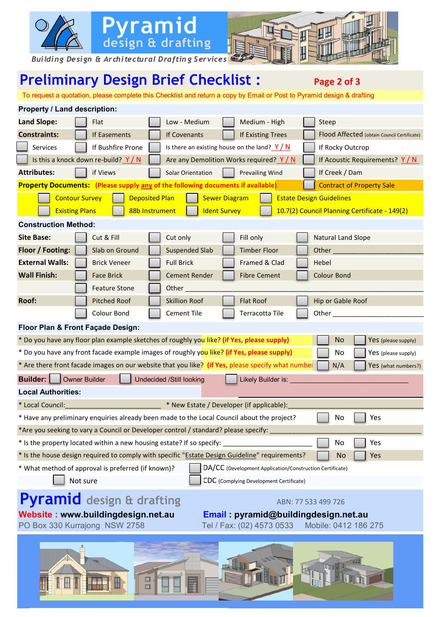

*Building Design & Architectural Draftin g Services*

<u>i se</u>

### **Preliminary Design Brief Checklist :** Page 2 of 3

**Pyramid**

**design & drafting**

To request a quotation, please complete this Checklist and return a copy by Email or Post to Pyramid design & drafting

| Property / Land description:                                                                                                                                                                                                 |  |  |  |
|------------------------------------------------------------------------------------------------------------------------------------------------------------------------------------------------------------------------------|--|--|--|
| <b>Land Slope:</b><br>Flat<br>Low - Medium<br>Medium - High<br>Steep                                                                                                                                                         |  |  |  |
| <b>Constraints:</b><br>Flood Affected (obtain Council Certificate)<br>If Easements<br>If Covenants<br>If Existing Trees                                                                                                      |  |  |  |
| Services<br>If Bushfire Prone<br>Is there an existing house on the land? $Y/N$<br>If Rocky Outcrop                                                                                                                           |  |  |  |
| Is this a knock down re-build? $Y/N$<br>Are any Demolition Works required? Y/N<br>If Acoustic Requirements? $Y/N$                                                                                                            |  |  |  |
| <b>Attributes:</b><br>if Views<br>Solar Orientation<br><b>Prevailing Wind</b><br>If Creek / Dam                                                                                                                              |  |  |  |
| <b>Property Documents:</b> (Please supply any of the following documents if available)<br><b>Contract of Property Sale</b>                                                                                                   |  |  |  |
| <b>Sewer Diagram</b><br><b>Estate Design Guidelines</b><br><b>Contour Survey</b><br><b>Deposited Plan</b><br><b>Existing Plans</b><br>88b Instrument<br><b>Ident Survey</b><br>10.7(2) Council Planning Certificate - 149(2) |  |  |  |
| <b>Construction Method:</b>                                                                                                                                                                                                  |  |  |  |
| <b>Site Base:</b><br>Fill only<br>Cut & Fill<br>Cut only<br><b>Natural Land Slope</b>                                                                                                                                        |  |  |  |
| Floor / Footing:<br>Slab on Ground<br><b>Suspended Slab</b><br><b>Timber Floor</b><br>Other <sub>_____</sub>                                                                                                                 |  |  |  |
| <b>External Walls:</b><br><b>Brick Veneer</b><br><b>Full Brick</b><br>Framed & Clad<br>Hebel                                                                                                                                 |  |  |  |
| <b>Wall Finish:</b><br><b>Cement Render</b><br><b>Fibre Cement</b><br><b>Colour Bond</b><br><b>Face Brick</b>                                                                                                                |  |  |  |
| Other<br><b>Feature Stone</b>                                                                                                                                                                                                |  |  |  |
| Roof:<br><b>Pitched Roof</b><br><b>Skillion Roof</b><br><b>Flat Roof</b><br>Hip or Gable Roof                                                                                                                                |  |  |  |
| Colour Bond<br>Cement Tile<br>Terracotta Tile<br>Other $\_$                                                                                                                                                                  |  |  |  |
| Floor Plan & Front Façade Design:                                                                                                                                                                                            |  |  |  |
| * Do you have any floor plan example sketches of roughly you like? (if Yes, please supply)<br>No<br>Yes (please supply)                                                                                                      |  |  |  |
| * Do you have any front facade example images of roughly you like? (if Yes, please supply)<br>No<br>Yes (please supply)                                                                                                      |  |  |  |
| * Are there front facade images on our website that you like? (if Yes, please specify what numbe<br>N/A<br>Yes (what numbers?)                                                                                               |  |  |  |
| <b>Builder:</b><br><b>Owner Builder</b><br><b>Undecided /Still looking</b><br>Likely Builder is:                                                                                                                             |  |  |  |
| <b>Local Authorities:</b>                                                                                                                                                                                                    |  |  |  |
| * Local Council:<br>* New Estate / Developer (if applicable):                                                                                                                                                                |  |  |  |
| * Have any preliminary enquiries already been made to the Local Council about the project?<br>No<br>Yes                                                                                                                      |  |  |  |
| *Are you seeking to vary a Council or Developer control / standard? please specify:                                                                                                                                          |  |  |  |
| * Is the property located within a new housing estate? If so specify:<br>Yes<br>No                                                                                                                                           |  |  |  |
| * Is the house design required to comply with specific "Estate Design Guideline" requirements?<br><b>No</b><br>Yes                                                                                                           |  |  |  |
| * What method of approval is preferred (if known)?<br>DA/CC (Development Application/Construction Certificate)<br>Not sure<br>CDC (Complying Development Certificate)                                                        |  |  |  |
| Pyramid design & drafting<br>ABN: 77 533 499 726                                                                                                                                                                             |  |  |  |
| Website: www.buildingdesign.net.au<br>Email: pyramid@buildingdesign.net.au<br>PO Box 330 Kurrajong NSW 2758<br>Tel / Fax: (02) 4573 0533<br>Mobile: 0412 186 275                                                             |  |  |  |
| <b>Ogra</b>                                                                                                                                                                                                                  |  |  |  |